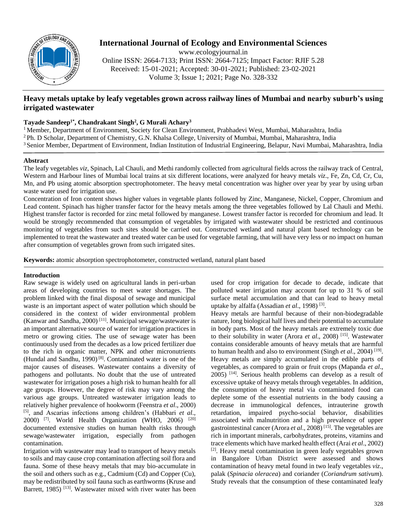

# **International Journal of Ecology and Environmental Sciences**

www.ecologyjournal.in Online ISSN: 2664-7133; Print ISSN: 2664-7125; Impact Factor: RJIF 5.28 Received: 15-01-2021; Accepted: 30-01-2021; Published: 23-02-2021 Volume 3; Issue 1; 2021; Page No. 328-332

## **Heavy metals uptake by leafy vegetables grown across railway lines of Mumbai and nearby suburb's using irrigated wastewater**

## **Tayade Sandeep1\* , Chandrakant Singh<sup>2</sup> , G Murali Achary<sup>3</sup>**

<sup>1</sup> Member, Department of Environment, Society for Clean Environment, Prabhadevi West, Mumbai, Maharashtra, India <sup>2</sup> Ph. D Scholar, Department of Chemistry, G.N. Khalsa College, University of Mumbai, Mumbai, Maharashtra, India <sup>3</sup> Senior Member, Department of Environment, Indian Institution of Industrial Engineering, Belapur, Navi Mumbai, Maharashtra, India

## **Abstract**

The leafy vegetables *viz*, Spinach, Lal Chauli, and Methi randomly collected from agricultural fields across the railway track of Central, Western and Harbour lines of Mumbai local trains at six different locations, were analyzed for heavy metals *viz*., Fe, Zn, Cd, Cr, Cu, Mn, and Pb using atomic absorption spectrophotometer. The heavy metal concentration was higher over year by year by using urban waste water used for irrigation use.

Concentration of Iron content shows higher values in vegetable plants followed by Zinc, Manganese, Nickel, Copper, Chromium and Lead content. Spinach has higher transfer factor for the heavy metals among the three vegetables followed by Lal Chauli and Methi. Highest transfer factor is recorded for zinc metal followed by manganese. Lowest transfer factor is recorded for chromium and lead. It would be strongly recommended that consumption of vegetables by irrigated with wastewater should be restricted and continuous monitoring of vegetables from such sites should be carried out. Constructed wetland and natural plant based technology can be implemented to treat the wastewater and treated water can be used for vegetable farming, that will have very less or no impact on human after consumption of vegetables grown from such irrigated sites.

**Keywords:** atomic absorption spectrophotometer, constructed wetland, natural plant based

## **Introduction**

Raw sewage is widely used on agricultural lands in peri-urban areas of developing countries to meet water shortages. The problem linked with the final disposal of sewage and municipal waste is an important aspect of water pollution which should be considered in the context of wider environmental problem (Kanwar and Sandha, 2000) [11]. Municipal sewage/wastewater is an important alternative source of water for irrigation practices in metro or growing cities. The use of sewage water has been continuously used from the decades as a low priced fertilizer due to the rich in organic matter, NPK and other micronutrients (Hundal and Sandhu, 1990) [8]. Contaminated water is one of the major causes of diseases. Wastewater contains a diversity of pathogens and pollutants. No doubt that the use of untreated wastewater for irrigation poses a high risk to human health for all age groups. However, the degree of risk may vary among the various age groups. Untreated wastewater irrigation leads to relatively higher prevalence of hookworm (Feenstra *et al*., 2000) [5], and Ascarias infections among children's (Habbari *et al*., 2000) [7]. World Health Organization (WHO, 2006) [20] documented extensive studies on human health risks through sewage/wastewater irrigation, especially from pathogen contamination.

Irrigation with wastewater may lead to transport of heavy metals to soils and may cause crop contamination affecting soil flora and fauna. Some of these heavy metals that may bio-accumulate in the soil and others such as e.g., Cadmium (Cd) and Copper (Cu), may be redistributed by soil fauna such as earthworms (Kruse and Barrett, 1985)<sup>[13]</sup>. Wastewater mixed with river water has been

used for crop irrigation for decade to decade, indicate that polluted water irrigation may account for up to 31 % of soil surface metal accumulation and that can lead to heavy metal uptake by alfalfa (Assadian *et al.*, 1998)<sup>[3]</sup>.

Heavy metals are harmful because of their non-biodegradable nature, long biological half lives and their potential to accumulate in body parts. Most of the heavy metals are extremely toxic due to their solubility in water (Arora *et al*., 2008) [15]. Wastewater contains considerable amounts of heavy metals that are harmful to human health and also to environment (Singh *et al.*, 2004)<sup>[19]</sup>. Heavy metals are simply accumulated in the edible parts of vegetables, as compared to grain or fruit crops (Mapanda *et al*.,  $2005$ ) <sup>[14]</sup>. Serious health problems can develop as a result of excessive uptake of heavy metals through vegetables. In addition, the consumption of heavy metal via contaminated food can deplete some of the essential nutrients in the body causing a decrease in immunological defences, intrauterine growth retardation, impaired psycho-social behavior, disabilities associated with malnutrition and a high prevalence of upper gastrointestinal cancer (Arora *et al*., 2008) [15]. The vegetables are rich in important minerals, carbohydrates, proteins, vitamins and trace elements which have marked health effect (Arai *et al*., 2002) [2]. Heavy metal contamination in green leafy vegetables grown in Bangalore Urban District were assessed and shows contamination of heavy metal found in two leafy vegetables *viz*., palak (*Spinacia oleracea*) and coriander (*Coriandrum sativum*). Study reveals that the consumption of these contaminated leafy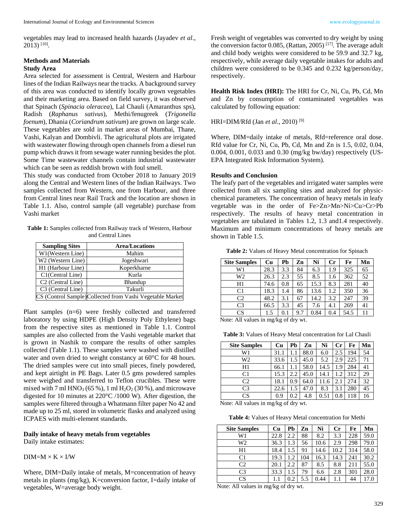vegetables may lead to increased health hazards (Jayadev *et al*., 2013) [10] .

# **Methods and Materials**

### **Study Area**

Area selected for assessment is Central, Western and Harbour lines of the Indian Railways near the tracks. A background survey of this area was conducted to identify locally grown vegetables and their marketing area. Based on field survey, it was observed that Spinach (*Spinacia oleracea*), Lal Chauli (Amaranthus sps), Radish (*Raphanus sativus*), Methi/fenugreek (*Trigonella foenum*), Dhania (*Coriandrum sativum*) are grown on large scale. These vegetables are sold in market areas of Mumbai, Thane, Vashi, Kalyan and Dombivli. The agricultural plots are irrigated with wastewater flowing through open channels from a diesel run pump which draws it from sewage water running besides the plot. Some Time wastewater channels contain industrial wastewater which can be seen as reddish brown with foul smell.

This study was conducted from October 2018 to January 2019 along the Central and Western lines of the Indian Railways. Two samples collected from Western, one from Harbour, and three from Central lines near Rail Track and the location are shown in Table 1.1. Also, control sample (all vegetable) purchase from Vashi market

**Table 1:** Samples collected from Railway track of Western, Harbour and Central Lines

| <b>Sampling Sites</b>         | <b>Area/Locations</b>                                     |
|-------------------------------|-----------------------------------------------------------|
| W1(Western Line)              | Mahim                                                     |
| W <sub>2</sub> (Western Line) | Jogeshwari                                                |
| H1 (Harbour Line)             | Koperkharne                                               |
| C1(Central Line)              | Kurla                                                     |
| C <sub>2</sub> (Central Line) | Bhandup                                                   |
| C3 (Central Line)             | Takurli                                                   |
|                               | CS (Control Sample) Collected from Vashi Vegetable Market |
|                               |                                                           |

Plant samples (n=6) were freshly collected and transferred laboratory by using HDPE (High Density Poly Ethylene) bags from the respective sites as mentioned in Table 1.1. Control samples are also collected from the Vashi vegetable market that is grown in Nashik to compare the results of other samples collected (Table 1.1). These samples were washed with distilled water and oven dried to weight constancy at 60°C for 48 hours. The dried samples were cut into small pieces, finely powdered, and kept airtight in PE Bags. Later 0.5 gms powdered samples were weighed and transferred to Teflon crucibles. These were mixed with 7 ml  $HNO<sub>3</sub>$  (65 %), 1 ml  $H<sub>2</sub>O<sub>2</sub>$  (30 %), and microwave digested for 10 minutes at 220°C /1000 W). After digestion, the samples were filtered through a Whatmann filter paper No 42 and made up to 25 ml, stored in volumetric flasks and analyzed using ICPAES with multi-element standards.

**Daily intake of heavy metals from vegetables** Daily intake estimates:

 $DIM=M \times K \times I/W$ 

Where, DIM=Daily intake of metals, M=concentration of heavy metals in plants (mg/kg), K=conversion factor, I=daily intake of vegetables, W=average body weight.

Fresh weight of vegetables was converted to dry weight by using the conversion factor 0.085, (Rattan, 2005)<sup>[17]</sup>. The average adult and child body weights were considered to be 59.9 and 32.7 kg, respectively, while average daily vegetable intakes for adults and children were considered to be 0.345 and 0.232 kg/person/day, respectively.

**Health Risk Index (HRI):** The HRI for Cr, Ni, Cu, Pb, Cd, Mn and Zn by consumption of contaminated vegetables was calculated by following equation:

HRI=DIM/Rfd (Jan *et al*., 2010) [9]

Where, DIM=daily intake of metals, Rfd=reference oral dose. Rfd value for Cr, Ni, Cu, Pb, Cd, Mn and Zn is 1.5, 0.02, 0.04, 0.004, 0.001, 0.033 and 0.30 (mg/kg bw/day) respectively (US-EPA Integrated Risk Information System).

### **Results and Conclusion**

The leafy part of the vegetables and irrigated water samples were collected from all six sampling sites and analyzed for physicchemical parameters. The concentration of heavy metals in leafy vegetable was in the order of Fe>Zn>Mn>Ni>Cu>Cr>Pb respectively. The results of heavy metal concentration in vegetables are tabulated in Tables 1.2, 1.3 and1.4 respectively. Maximum and minimum concentrations of heavy metals are shown in Table 1.5.

**Table 2:** Values of Heavy Metal concentration for Spinach

| <b>Site Samples</b>                  | Cu   | Pb  | Zn  | Ni   | Cr  | Fe   | Mn |
|--------------------------------------|------|-----|-----|------|-----|------|----|
| W1                                   | 28.3 | 3.3 | 84  | 6.3  | 1.9 | 325  | 65 |
| W2                                   | 26.3 | 2.3 | 55  | 8.5  | 1.6 | 362  | 52 |
| H1                                   | 74.6 | 0.8 | 65  | 15.3 | 8.3 | 281  | 40 |
| C <sub>1</sub>                       | 18.3 | 1.4 | 86  | 13.6 | 1.2 | 350  | 36 |
| C <sub>2</sub>                       | 48.2 | 3.1 | 67  | 14.2 | 3.2 | 247  | 39 |
| C <sub>3</sub>                       | 66.5 | 3.3 | 45  | 7.6  | 4.1 | 269  | 41 |
| <b>CS</b>                            | 1.5  | 0.1 | 9.7 | 0.84 | 0.4 | 54.5 | 11 |
| Motor All values in malke of dry $m$ |      |     |     |      |     |      |    |

Note: All values in mg/kg of dry wt.

**Table 3:** Values of Heavy Metal concentration for Lal Chauli

| <b>Site Samples</b> | Cu   | Pb  | Zn   | Ni   | $_{\rm Cr}$ | Fe  | Mn |
|---------------------|------|-----|------|------|-------------|-----|----|
| W1                  | 31.1 |     | 88.0 | 6.0  | 2.5         | 194 | 54 |
| W2                  | 33.6 | 1.5 | 45.0 | 5.2  | 2.9         | 225 | 71 |
| H1                  | 66.1 |     | 58.0 | 14.5 | 1.9         | 284 | 41 |
| C <sub>1</sub>      | 15.3 | 2.2 | 45.0 | 14.1 | 1.2         | 312 | 29 |
| C <sub>2</sub>      | 18.1 | 0.9 | 64.0 | 11.6 | 2.1         | 274 | 32 |
| C <sub>3</sub>      | 22.6 | 1.5 | 47.0 | 8.3  | 3.1         | 280 | 45 |
| CS                  | 0.9  | 0.2 | 4.8  | 0.51 | 0.8         | 118 | 16 |

Note: All values in mg/kg of dry wt.

**Table 4:** Values of Heavy Metal concentration for Methi

| <b>Site Samples</b> | Cu   | Pb  | Zn  | Ni   | $_{\rm Cr}$ | Fe  | Mn   |
|---------------------|------|-----|-----|------|-------------|-----|------|
| W1                  | 22.8 | 2.2 | 88  | 8.2  | 3.3         | 228 | 59.0 |
| W2                  | 36.3 | 1.3 | 56  | 10.6 | 2.9         | 298 | 79.0 |
| H1                  | 18.4 | 1.5 | 91  | 14.6 | 10.2        | 314 | 58.0 |
| C <sub>1</sub>      | 19.3 | 1.2 | 104 | 16.3 | 14.3        | 241 | 30.2 |
| C2                  | 20.1 | 2.2 | 87  | 8.5  | 8.8         | 211 | 55.0 |
| C <sub>3</sub>      | 33.3 | 1.5 | 79  | 6.6  | 2.8         | 301 | 28.0 |
| CS                  | 1.1  | 0.2 | 5.5 | 0.44 | 1.1         | 44  | 17.0 |

Note: All values in mg/kg of dry wt.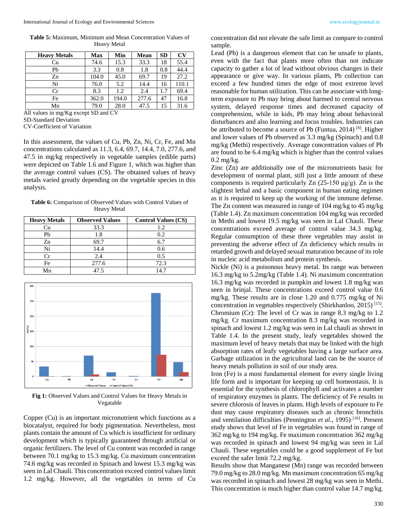**Table 5:** Maximum, Minimum and Mean Concentration Values of Heavy Metal

| <b>Heavy Metals</b> | <b>Max</b> | Min   | <b>Mean</b> | <b>SD</b> | CV    |
|---------------------|------------|-------|-------------|-----------|-------|
| Cu                  | 74.6       | 15.3  | 33.3        | 18        | 55.4  |
| Pb                  | 3.3        | 0.8   | 1.8         | 0.8       | 44.4  |
| Zn                  | 104.0      | 45.0  | 69.7        | 19        | 27.2  |
| Ni                  | 76.0       | 5.2   | 14.4        | 16        | 110.1 |
| Cr                  | 8.3        | 1.2   | 2.4         | 1.7       | 69.4  |
| Fe                  | 362.0      | 194.0 | 277.6       | 47        | 16.8  |
| Mn                  | 79.0       | 28.0  | 47.5        | 15        | 31.6  |

All values in mg/Kg except SD and CV

SD-Standard Deviation

CV-Coefficient of Variation

In this assessment, the values of Cu, Pb, Zn, Ni, Cr, Fe, and Mn concentrations calculated as 11.3, 6.4, 69.7, 14.4, 7.0, 277.6, and 47.5 in mg/kg respectively in vegetable samples (edible parts) were depicted on Table 1.6 and Figure 1, which was higher than the average control values (CS). The obtained values of heavy metals varied greatly depending on the vegetable species in this analysis.

**Table 6:** Comparison of Observed Values with Control Values of Heavy Metal

| <b>Heavy Metals</b> | <b>Observed Values</b> | <b>Control Values (CS)</b> |
|---------------------|------------------------|----------------------------|
| Cu                  | 33.3                   | 1.2                        |
| Pb                  | 1.8                    | 0.2                        |
| Zn                  | 69.7                   | 6.7                        |
| Ni                  | 14.4                   | 0.6                        |
| Сr                  | 2.4                    | 0.5                        |
| Fe                  | 277.6                  | 72.3                       |
| Mn                  | 47 5                   | 14.7                       |



Fig 1: Observed Values and Control Values for Heavy Metals in Vegatable

Copper (Cu) is an important micronutrient which functions as a biocatalyst, required for body pigmentation. Nevertheless, most plants contain the amount of Cu which is insufficient for ordinary development which is typically guaranteed through artificial or organic fertilizers. The level of Cu content was recorded in range between 70.1 mg/kg to 15.3 mg/kg. Cu maximum concentration 74.6 mg/kg was recorded in Spinach and lowest 15.3 mg/kg was seen in Lal Chauli. This concentration exceed control values limit 1.2 mg/kg. However, all the vegetables in terms of Cu

concentration did not elevate the safe limit as compare to control sample.

Lead (Pb) is a dangerous element that can be unsafe to plants, even with the fact that plants more often than not indicate capacity to gather a lot of lead without obvious changes in their appearance or give way. In various plants, Pb collection can exceed a few hundred times the edge of most extreme level reasonable for human utilization. This can be associate with longterm exposure to Pb may bring about harmed to central nervous system, delayed response times and decreased capacity of comprehension, while in kids, Pb may bring about behavioral disturbances and also learning and focus troubles. Industries can be attributed to become a source of Pb (Funtua, 2014)  $[6]$ . Higher and lower values of Pb observed as 3.3 mg/kg (Spinach) and 0.8 mg/kg (Methi) respectively. Average concentration values of Pb are found to be 6.4 mg/kg which is higher than the control values 0.2 mg/kg.

Zinc (Zn) are additionally one of the micronutrients basic for development of normal plant, still just a little amount of these components is required particularly Zn (25-150 μg/g). Zn is the slightest lethal and a basic component in human eating regimen as it is required to keep up the working of the immune defense. The Zn content was measured in range of 104 mg/kg to 45 mg/kg (Table 1.4). Zn maximum concentration 104 mg/kg was recorded in Methi and lowest 19.5 mg/kg was seen in Lal Chauli. These concentrations exceed average of control value 34.3 mg/kg. Regular consumption of these three vegetables may assist in preventing the adverse effect of Zn deficiency which results in retarded growth and delayed sexual maturation because of its role in nucleic acid metabolism and protein synthesis.

Nickle (Ni) is a poisonous heavy metal. Its range was between 16.3 mg/kg to 5.2mg/kg (Table 1.4). Ni maximum concentration 16.3 mg/kg was recorded in pumpkin and lowest 1.8 mg/kg was seen in brinjal. These concentrations exceed control value 0.6 mg/kg. These results are in close 1.20 and 0.775 mg/kg of Ni concentration in vegetables respectively (Shirkhanloo, 2015)<sup>[15]</sup>. Chromium (Cr): The level of Cr was in range 8.3 mg/kg to 1.2 mg/kg. Cr maximum concentration 8.3 mg/kg was recorded in spinach and lowest 1.2 mg/kg was seen in Lal chauli as shown in Table 1.4. In the present study, leafy vegetables showed the maximum level of heavy metals that may be linked with the high absorption rates of leafy vegetables having a large surface area. Garbage utilization in the agricultural land can be the source of heavy metals pollution in soil of our study area.

Iron (Fe) is a most fundamental element for every single living life form and is important for keeping up cell homeostasis. It is essential for the synthesis of chlorophyll and activates a number of respiratory enzymes in plants. The deficiency of Fe results in severe chlorosis of leaves in plants. High levels of exposure to Fe dust may cause respiratory diseases such as chronic bronchitis and ventilation difficulties (Pennington *et al*., 1995) [16]. Present study shows that level of Fe in vegetables was found in range of 362 mg/kg to 194 mg/kg. Fe maximum concentration 362 mg/kg was recorded in spinach and lowest 94 mg/kg was seen in Lal Chauli. These vegetables could be a good supplement of Fe but exceed the safer limit 72.2 mg/kg.

Results show that Manganese (Mn) range was recorded between 79.0 mg/kg to 28.0 mg/kg. Mn maximum concentration 65 mg/kg was recorded in spinach and lowest 28 mg/kg was seen in Methi. This concentration is much higher than control value 14.7 mg/kg.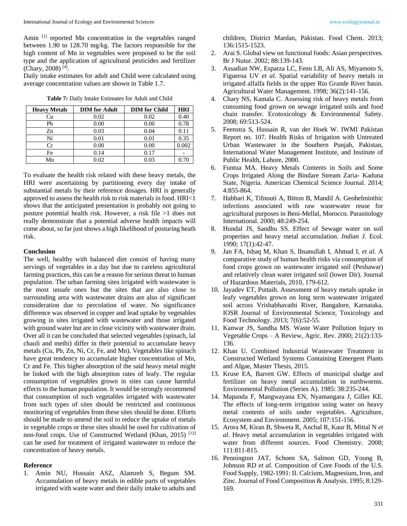Amin <sup>[1]</sup> reported Mn concentration in the vegetables ranged between 1.90 to 128.70 mg/kg. The factors responsible for the high content of Mn in vegetables were proposed to be the soil type and the application of agricultural pesticides and fertilizer (Chary, 2008) [4] .

Daily intake estimates for adult and Child were calculated using average concentration values are shown in Table 1.7.

| Table 7: Daily Intake Estimates for Adult and Child |  |  |  |  |  |  |
|-----------------------------------------------------|--|--|--|--|--|--|
|-----------------------------------------------------|--|--|--|--|--|--|

| <b>Heavy Metals</b> | <b>DIM</b> for Adult | <b>DIM</b> for Child | <b>HRI</b> |
|---------------------|----------------------|----------------------|------------|
| Cu                  | 0.02                 | 0.02                 | 0.40       |
| Ph                  | 0.00                 | 0.00                 | 0.78       |
| Zn                  | 0.03                 | 0.04                 | 0.11       |
| Ni                  | 0.01                 | 0.01                 | 0.35       |
| Cr.                 | 0.00                 | 0.00                 | 0.002      |
| Fe                  | 0.14                 | 0.17                 |            |
| Mn                  | 0.02                 | 0.03                 | 0.70       |

children, District Mardan, Pakistan. Food Chem. 2013; 136:1515-1523.

- 2. Arai S. Global view on functional foods: Asian perspectives. Br J Nutur. 2002; 88:139-143.
- 3. Assadian NW, Esparza LC, Fenn LB, Ali AS, Miyamoto S, Figueroa UV *et al*. Spatial variability of heavy metals in irrigated alfalfa fields in the upper Rio Grande River basin. Agricultural Water Management. 1998; 36(2):141-156.
- 4. Chary NS, Kamala C. Assessing risk of heavy metals from consuming food grown on sewage irrigated soils and food chain transfer. Ecotoxicology & Environmental Safety. 2008; 69:513-524.
- 5. Feenstra S, Hussain R, van der Hoek W. IWMI Pakistan Report no. 107. Health Risks of Irrigation with Untreated Urban Wastewater in the Southern Punjab, Pakistan, International Water Management Institute, and Institute of Public Health, Lahore, 2000.
- 6. Funtua MA. Heavy Metals Contents in Soils and Some Crops Irrigated Along the Bindare Stream Zaria- Kaduna State, Nigeria. American Chemical Science Journal. 2014; 4:855-864.
- 7. Habbari K, Tifnouti A, Bitton B, Mandil A. Geohelminthic infections associated with raw wastewater reuse for agricultural purposes in Beni-Mellal, Morocco. Parasitology International. 2000; 48:249-254.
- 8. Hundal JS, Sandhu SS. Effect of Sewage water on soil properties and heavy metal accumulation. *Indian J.* Ecol. 1990; 17(1):42-47.
- 9. Jan FA, Ishaq M, Khan S, Ihsanullah I, Ahmad I, *et al*. A comparative study of human health risks via consumption of food crops grown on wastewater irrigated soil (Peshawar) and relatively clean water irrigated soil (lower Dir). Journal of Hazardous Materials, 2010, 179-612.
- 10. Jayadev ET, Puttaih. Assessment of heavy metals uptake in leafy vegetables grown on long term wastewater irrigated soil across Vrishabhavathi River, Bangalore, Karnataka. IOSR Journal of Environmental Science, Toxicology and Food Technology. 2013; 7(6):52-55.
- 11. Kanwar JS, Sandha MS. Waste Water Pollution Injury to Vegetable Crops – A Review, Agric. Rev*.* 2000; 21(2):133- 136.
- 12. Khan U. Combined Industrial Wastewater Treatment in Constructed Wetland Systems Containing Emergent Plants and Algae, Master Thesis, 2015.
- 13. Kruse EA, Barrett GW. Effects of municipal sludge and fertilizer on heavy metal accumulation in earthworms. Environmental Pollution (Series A). 1985: 38:235-244.
- 14. Mapanda F, Mangwayana EN, Nyamangara J, Giller KE. The effects of long-term irrigation using water on heavy metal contents of soils under vegetables. Agriculture, Ecosystem and Environment. 2005; 107:151-156.
- 15. Arora M, Kiran B, Shweta R, Anchal R, Kaur B, Mittal N *et al*. Heavy metal accumulation in vegetables irrigated with water from different sources. Food Chemistry. 2008; 111:811-815.
- 16. Pennington JAT, Schoen SA, Salmon GD, Young B, Johnson RD *et al*. Composition of Core Foods of the U.S. Food Supply, 1982-1991: II. Calcium, Magnesium, Iron, and Zinc. Journal of Food Composition & Analysis. 1995; 8:129- 169.

To evaluate the health risk related with these heavy metals, the HRI were ascertaining by partitioning every day intake of substantial metals by their reference dosages. HRI is generally approved to assess the health risk to risk materials in food. HRI<1 shows that the anticipated presentation is probably not going to posture potential health risk. However, a risk file >1 does not really demonstrate that a potential adverse health impacts will come about, so far just shows a high likelihood of posturing heath risk.

#### **Conclusion**

The well, healthy with balanced diet consist of having many servings of vegetables in a day but due to careless agricultural farming practices, this can be a reason for serious threat to human population. The urban farming sites irrigated with wastewater is the most unsafe ones but the sites that are also close to surrounding area with wastewater drains are also of significant consideration due to percolation of water. No significance difference was observed in copper and lead uptake by vegetables growing in sites irrigated with wastewater and those irrigated with ground water but are in close vicinity with wastewater drain. Over all it can be concluded that selected vegetables (spinach, lal chauli and methi) differ in their potential to accumulate heavy metals (Cu, Pb, Zn, Ni, Cr, Fe, and Mn). Vegetables like spinach have great tendency to accumulate higher concentration of Mn, Cr and Fe. This higher absorption of the said heavy metal might be linked with the high absorption rates of leafy. The regular consumption of vegetables grown in sites can cause harmful effects to the human population. It would be strongly recommend that consumption of such vegetables irrigated with wastewater from such types of sites should be restricted and continuous monitoring of vegetables from these sites should be done. Efforts should be made to amend the soil to reduce the uptake of metals in vegetable crops or these sites should be used for cultivation of non-food crops. Use of Constructed Wetland (Khan, 2015)<sup>[12]</sup> can be used for treatment of irrigated wastewater to reduce the concentration of heavy metals.

#### **Reference**

1. Amin NU, Hussain ASZ, Alamzeb S, Begum SM. Accumulation of heavy metals in edible parts of vegetables irrigated with waste water and their daily intake to adults and